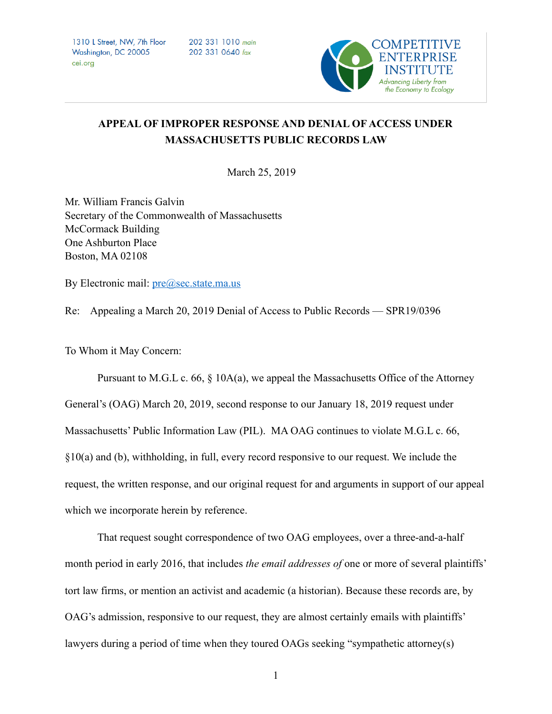1310 L Street, NW, 7th Floor Washington, DC 20005 cei.ora

202 331 1010 main 202 331 0640 fax



# **APPEAL OF IMPROPER RESPONSE AND DENIAL OF ACCESS UNDER MASSACHUSETTS PUBLIC RECORDS LAW**

March 25, 2019

Mr. William Francis Galvin Secretary of the Commonwealth of Massachusetts McCormack Building One Ashburton Place Boston, MA 02108

By Electronic mail:  $pre@sec.state.macus$ 

Re: Appealing a March 20, 2019 Denial of Access to Public Records — SPR19/0396

To Whom it May Concern:

Pursuant to M.G.L c. 66,  $\S$  10A(a), we appeal the Massachusetts Office of the Attorney General's (OAG) March 20, 2019, second response to our January 18, 2019 request under Massachusetts' Public Information Law (PIL). MA OAG continues to violate M.G.L c. 66,  $§10(a)$  and (b), withholding, in full, every record responsive to our request. We include the request, the written response, and our original request for and arguments in support of our appeal which we incorporate herein by reference.

 That request sought correspondence of two OAG employees, over a three-and-a-half month period in early 2016, that includes *the email addresses of* one or more of several plaintiffs' tort law firms, or mention an activist and academic (a historian). Because these records are, by OAG's admission, responsive to our request, they are almost certainly emails with plaintiffs' lawyers during a period of time when they toured OAGs seeking "sympathetic attorney(s)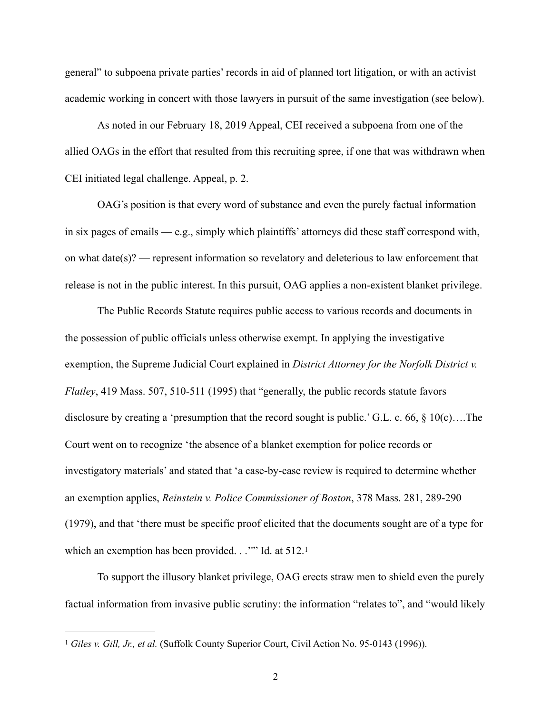general" to subpoena private parties' records in aid of planned tort litigation, or with an activist academic working in concert with those lawyers in pursuit of the same investigation (see below).

 As noted in our February 18, 2019 Appeal, CEI received a subpoena from one of the allied OAGs in the effort that resulted from this recruiting spree, if one that was withdrawn when CEI initiated legal challenge. Appeal, p. 2.

 OAG's position is that every word of substance and even the purely factual information in six pages of emails — e.g., simply which plaintiffs' attorneys did these staff correspond with, on what date(s)? — represent information so revelatory and deleterious to law enforcement that release is not in the public interest. In this pursuit, OAG applies a non-existent blanket privilege.

 The Public Records Statute requires public access to various records and documents in the possession of public officials unless otherwise exempt. In applying the investigative exemption, the Supreme Judicial Court explained in *District Attorney for the Norfolk District v. Flatley*, 419 Mass. 507, 510-511 (1995) that "generally, the public records statute favors disclosure by creating a 'presumption that the record sought is public.' G.L. c. 66, § 10(c)….The Court went on to recognize 'the absence of a blanket exemption for police records or investigatory materials' and stated that 'a case-by-case review is required to determine whether an exemption applies, *Reinstein v. Police Commissioner of Boston*, 378 Mass. 281, 289-290 (1979), and that 'there must be specific proof elicited that the documents sought are of a type for which an exemption has been provided. . .''" Id. at 5[1](#page-1-0)2.<sup>1</sup>

<span id="page-1-1"></span> To support the illusory blanket privilege, OAG erects straw men to shield even the purely factual information from invasive public scrutiny: the information "relates to", and "would likely

<span id="page-1-0"></span><sup>&</sup>lt;sup>[1](#page-1-1)</sup> Giles v. Gill, Jr., et al. (Suffolk County Superior Court, Civil Action No. 95-0143 (1996)).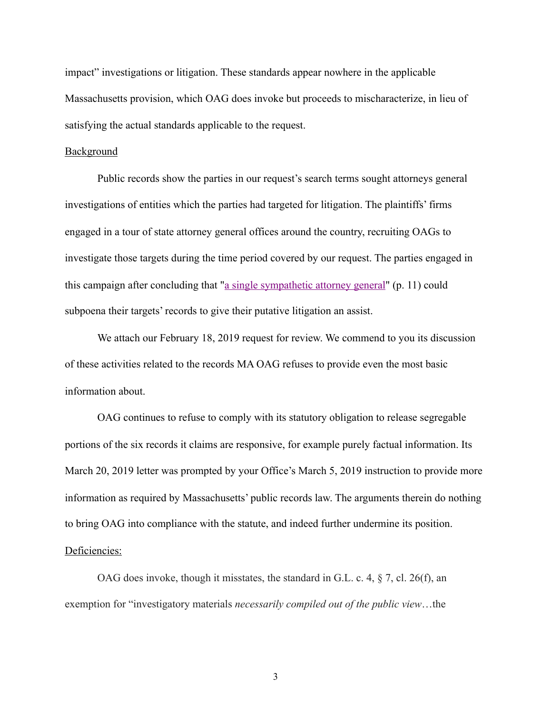impact" investigations or litigation. These standards appear nowhere in the applicable Massachusetts provision, which OAG does invoke but proceeds to mischaracterize, in lieu of satisfying the actual standards applicable to the request.

#### Background

Public records show the parties in our request's search terms sought attorneys general investigations of entities which the parties had targeted for litigation. The plaintiffs' firms engaged in a tour of state attorney general offices around the country, recruiting OAGs to investigate those targets during the time period covered by our request. The parties engaged in this campaign after concluding that ["a single sympathetic attorney general"](http://www.climateaccountability.org/pdf/Climate%2520Accountability%2520Rpt%2520Oct12.pdf) (p. 11) could subpoena their targets' records to give their putative litigation an assist.

 We attach our February 18, 2019 request for review. We commend to you its discussion of these activities related to the records MA OAG refuses to provide even the most basic information about.

 OAG continues to refuse to comply with its statutory obligation to release segregable portions of the six records it claims are responsive, for example purely factual information. Its March 20, 2019 letter was prompted by your Office's March 5, 2019 instruction to provide more information as required by Massachusetts' public records law. The arguments therein do nothing to bring OAG into compliance with the statute, and indeed further undermine its position. Deficiencies:

 OAG does invoke, though it misstates, the standard in G.L. c. 4, § 7, cl. 26(f), an exemption for "investigatory materials *necessarily compiled out of the public view*…the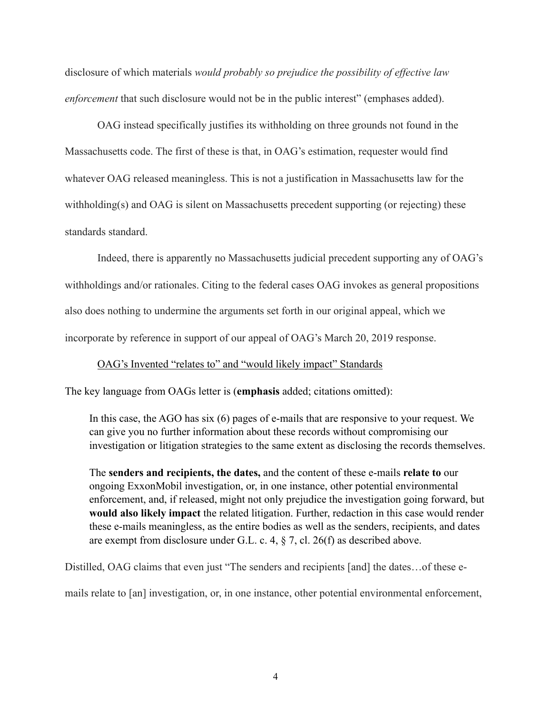disclosure of which materials *would probably so prejudice the possibility of effective law enforcement* that such disclosure would not be in the public interest" (emphases added).

 OAG instead specifically justifies its withholding on three grounds not found in the Massachusetts code. The first of these is that, in OAG's estimation, requester would find whatever OAG released meaningless. This is not a justification in Massachusetts law for the withholding(s) and OAG is silent on Massachusetts precedent supporting (or rejecting) these standards standard.

 Indeed, there is apparently no Massachusetts judicial precedent supporting any of OAG's withholdings and/or rationales. Citing to the federal cases OAG invokes as general propositions also does nothing to undermine the arguments set forth in our original appeal, which we incorporate by reference in support of our appeal of OAG's March 20, 2019 response.

### OAG's Invented "relates to" and "would likely impact" Standards

The key language from OAGs letter is (**emphasis** added; citations omitted):

In this case, the AGO has six (6) pages of e-mails that are responsive to your request. We can give you no further information about these records without compromising our investigation or litigation strategies to the same extent as disclosing the records themselves.

The **senders and recipients, the dates,** and the content of these e-mails **relate to** our ongoing ExxonMobil investigation, or, in one instance, other potential environmental enforcement, and, if released, might not only prejudice the investigation going forward, but **would also likely impact** the related litigation. Further, redaction in this case would render these e-mails meaningless, as the entire bodies as well as the senders, recipients, and dates are exempt from disclosure under G.L. c. 4, § 7, cl. 26(f) as described above.

Distilled, OAG claims that even just "The senders and recipients [and] the dates…of these e-

mails relate to [an] investigation, or, in one instance, other potential environmental enforcement,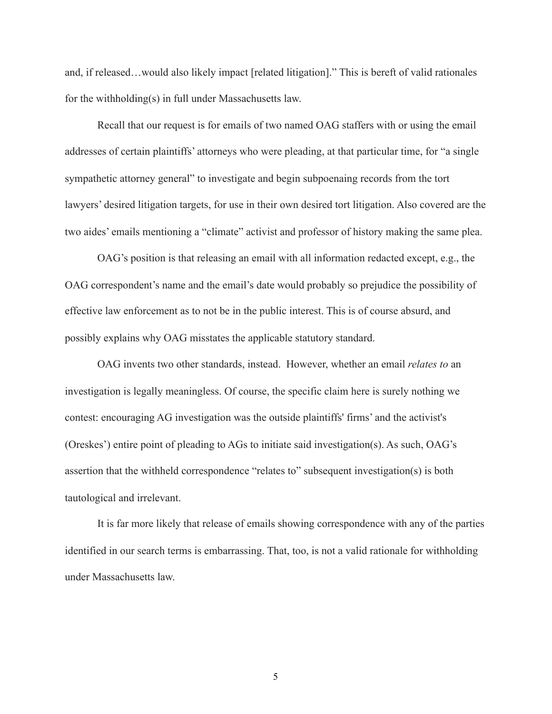and, if released…would also likely impact [related litigation]." This is bereft of valid rationales for the withholding(s) in full under Massachusetts law.

 Recall that our request is for emails of two named OAG staffers with or using the email addresses of certain plaintiffs' attorneys who were pleading, at that particular time, for "a single sympathetic attorney general" to investigate and begin subpoenaing records from the tort lawyers' desired litigation targets, for use in their own desired tort litigation. Also covered are the two aides' emails mentioning a "climate" activist and professor of history making the same plea.

 OAG's position is that releasing an email with all information redacted except, e.g., the OAG correspondent's name and the email's date would probably so prejudice the possibility of effective law enforcement as to not be in the public interest. This is of course absurd, and possibly explains why OAG misstates the applicable statutory standard.

 OAG invents two other standards, instead. However, whether an email *relates to* an investigation is legally meaningless. Of course, the specific claim here is surely nothing we contest: encouraging AG investigation was the outside plaintiffs' firms' and the activist's (Oreskes') entire point of pleading to AGs to initiate said investigation(s). As such, OAG's assertion that the withheld correspondence "relates to" subsequent investigation(s) is both tautological and irrelevant.

 It is far more likely that release of emails showing correspondence with any of the parties identified in our search terms is embarrassing. That, too, is not a valid rationale for withholding under Massachusetts law.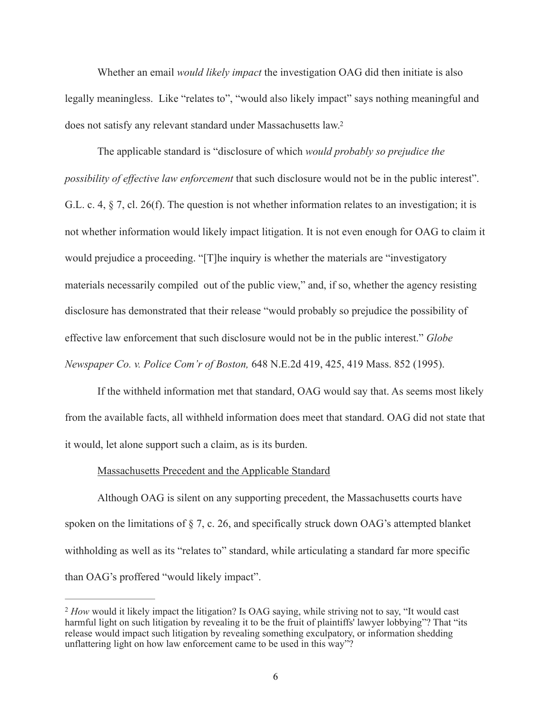Whether an email *would likely impact* the investigation OAG did then initiate is also legally meaningless. Like "relates to", "would also likely impact" says nothing meaningful and does not satisfy any relevant standard under Massachusetts law[.2](#page-5-0)

<span id="page-5-1"></span> The applicable standard is "disclosure of which *would probably so prejudice the possibility of effective law enforcement* that such disclosure would not be in the public interest". G.L. c. 4,  $\S$  7, cl. 26(f). The question is not whether information relates to an investigation; it is not whether information would likely impact litigation. It is not even enough for OAG to claim it would prejudice a proceeding. "[T]he inquiry is whether the materials are "investigatory materials necessarily compiled out of the public view," and, if so, whether the agency resisting disclosure has demonstrated that their release "would probably so prejudice the possibility of effective law enforcement that such disclosure would not be in the public interest." *Globe Newspaper Co. v. Police Com'r of Boston,* 648 N.E.2d 419, 425, 419 Mass. 852 (1995).

 If the withheld information met that standard, OAG would say that. As seems most likely from the available facts, all withheld information does meet that standard. OAG did not state that it would, let alone support such a claim, as is its burden.

# Massachusetts Precedent and the Applicable Standard

 Although OAG is silent on any supporting precedent, the Massachusetts courts have spoken on the limitations of § 7, c. 26, and specifically struck down OAG's attempted blanket withholding as well as its "relates to" standard, while articulating a standard far more specific than OAG's proffered "would likely impact".

<span id="page-5-0"></span><sup>&</sup>lt;sup>[2](#page-5-1)</sup> How would it likely impact the litigation? Is OAG saying, while striving not to say, "It would cast" harmful light on such litigation by revealing it to be the fruit of plaintiffs' lawyer lobbying"? That "its release would impact such litigation by revealing something exculpatory, or information shedding unflattering light on how law enforcement came to be used in this way"?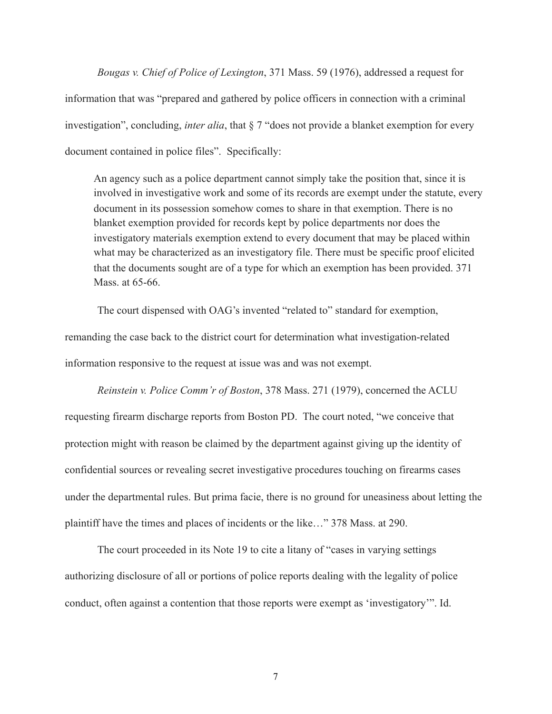*Bougas v. Chief of Police of Lexington*, 371 Mass. 59 (1976), addressed a request for information that was "prepared and gathered by police officers in connection with a criminal investigation", concluding, *inter alia*, that § 7 "does not provide a blanket exemption for every document contained in police files". Specifically:

An agency such as a police department cannot simply take the position that, since it is involved in investigative work and some of its records are exempt under the statute, every document in its possession somehow comes to share in that exemption. There is no blanket exemption provided for records kept by police departments nor does the investigatory materials exemption extend to every document that may be placed within what may be characterized as an investigatory file. There must be specific proof elicited that the documents sought are of a type for which an exemption has been provided. 371 Mass. at 65-66.

The court dispensed with OAG's invented "related to" standard for exemption,

remanding the case back to the district court for determination what investigation-related information responsive to the request at issue was and was not exempt.

*Reinstein v. Police Comm'r of Boston*, 378 Mass. 271 (1979), concerned the ACLU requesting firearm discharge reports from Boston PD. The court noted, "we conceive that protection might with reason be claimed by the department against giving up the identity of confidential sources or revealing secret investigative procedures touching on firearms cases under the departmental rules. But prima facie, there is no ground for uneasiness about letting the plaintiff have the times and places of incidents or the like…" 378 Mass. at 290.

 The court proceeded in its Note 19 to cite a litany of "cases in varying settings authorizing disclosure of all or portions of police reports dealing with the legality of police conduct, often against a contention that those reports were exempt as 'investigatory'". Id.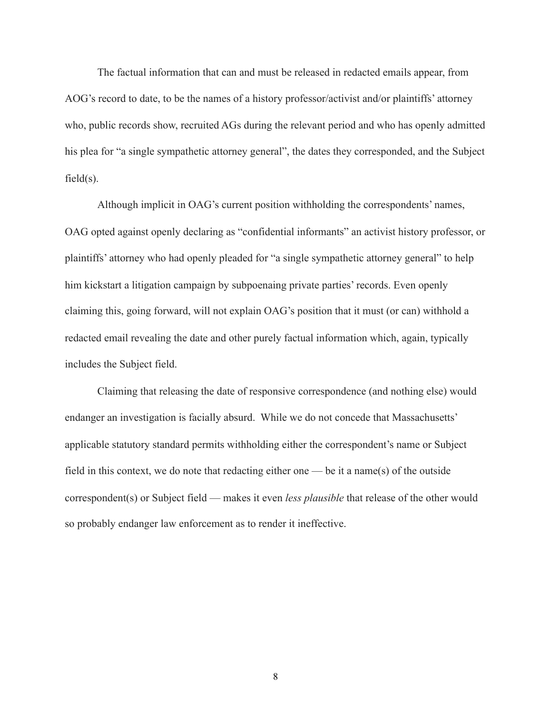The factual information that can and must be released in redacted emails appear, from AOG's record to date, to be the names of a history professor/activist and/or plaintiffs' attorney who, public records show, recruited AGs during the relevant period and who has openly admitted his plea for "a single sympathetic attorney general", the dates they corresponded, and the Subject  $field(s)$ .

 Although implicit in OAG's current position withholding the correspondents' names, OAG opted against openly declaring as "confidential informants" an activist history professor, or plaintiffs' attorney who had openly pleaded for "a single sympathetic attorney general" to help him kickstart a litigation campaign by subpoenaing private parties' records. Even openly claiming this, going forward, will not explain OAG's position that it must (or can) withhold a redacted email revealing the date and other purely factual information which, again, typically includes the Subject field.

 Claiming that releasing the date of responsive correspondence (and nothing else) would endanger an investigation is facially absurd. While we do not concede that Massachusetts' applicable statutory standard permits withholding either the correspondent's name or Subject field in this context, we do note that redacting either one — be it a name(s) of the outside correspondent(s) or Subject field — makes it even *less plausible* that release of the other would so probably endanger law enforcement as to render it ineffective.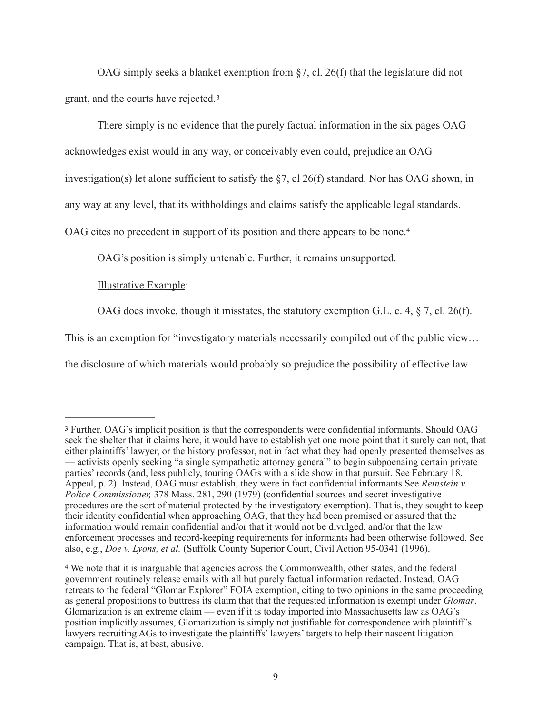OAG simply seeks a blanket exemption from §7, cl. 26(f) that the legislature did not grant, and the courts have rejected.[3](#page-8-0)

<span id="page-8-2"></span>There simply is no evidence that the purely factual information in the six pages OAG

acknowledges exist would in any way, or conceivably even could, prejudice an OAG

investigation(s) let alone sufficient to satisfy the §7, cl 26(f) standard. Nor has OAG shown, in

any way at any level, that its withholdings and claims satisfy the applicable legal standards.

OAG cites no precedent in support of its position and there appears to be none. [4](#page-8-1)

<span id="page-8-3"></span>OAG's position is simply untenable. Further, it remains unsupported.

Illustrative Example:

OAG does invoke, though it misstates, the statutory exemption G.L. c. 4, § 7, cl. 26(f).

This is an exemption for "investigatory materials necessarily compiled out of the public view…

the disclosure of which materials would probably so prejudice the possibility of effective law

<span id="page-8-0"></span>Further, OAG's implicit position is that the correspondents were confidential informants. Should OAG [3](#page-8-2) seek the shelter that it claims here, it would have to establish yet one more point that it surely can not, that either plaintiffs' lawyer, or the history professor, not in fact what they had openly presented themselves as — activists openly seeking "a single sympathetic attorney general" to begin subpoenaing certain private parties' records (and, less publicly, touring OAGs with a slide show in that pursuit. See February 18, Appeal, p. 2). Instead, OAG must establish, they were in fact confidential informants See *Reinstein v. Police Commissioner,* 378 Mass. 281, 290 (1979) (confidential sources and secret investigative procedures are the sort of material protected by the investigatory exemption). That is, they sought to keep their identity confidential when approaching OAG, that they had been promised or assured that the information would remain confidential and/or that it would not be divulged, and/or that the law enforcement processes and record-keeping requirements for informants had been otherwise followed. See also, e.g., *Doe v. Lyons, et al.* (Suffolk County Superior Court, Civil Action 95-0341 (1996).

<span id="page-8-1"></span>We note that it is inarguable that agencies across the Commonwealth, other states, and the federal [4](#page-8-3) government routinely release emails with all but purely factual information redacted. Instead, OAG retreats to the federal "Glomar Explorer" FOIA exemption, citing to two opinions in the same proceeding as general propositions to buttress its claim that that the requested information is exempt under *Glomar*. Glomarization is an extreme claim — even if it is today imported into Massachusetts law as OAG's position implicitly assumes, Glomarization is simply not justifiable for correspondence with plaintiff's lawyers recruiting AGs to investigate the plaintiffs' lawyers' targets to help their nascent litigation campaign. That is, at best, abusive.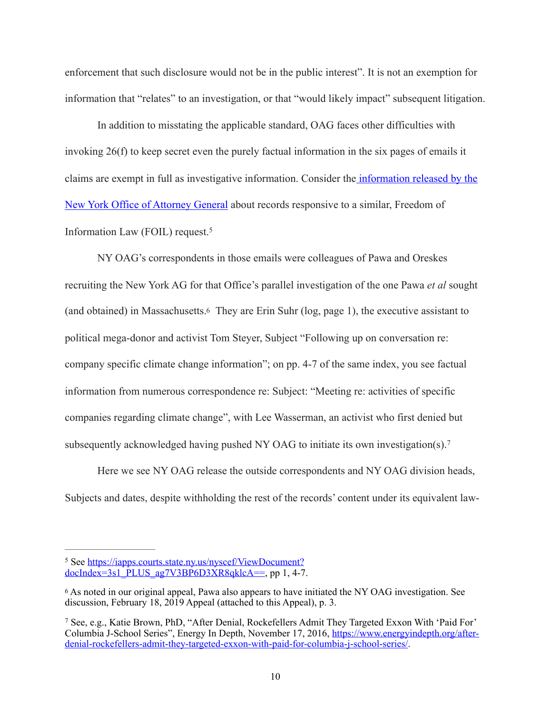enforcement that such disclosure would not be in the public interest". It is not an exemption for information that "relates" to an investigation, or that "would likely impact" subsequent litigation.

 In addition to misstating the applicable standard, OAG faces other difficulties with invoking 26(f) to keep secret even the purely factual information in the six pages of emails it claims are exempt in full as investigative information. Consider th[e information released by the](https://iapps.courts.state.ny.us/nyscef/ViewDocument?docIndex=3s1_PLUS_ag7V3BP6D3XR8qklcA==)  [New York Office of Attorney General](https://iapps.courts.state.ny.us/nyscef/ViewDocument?docIndex=3s1_PLUS_ag7V3BP6D3XR8qklcA==) about records responsive to a similar, Freedom of Information Law (FOIL) request. [5](#page-9-0)

<span id="page-9-4"></span><span id="page-9-3"></span> NY OAG's correspondents in those emails were colleagues of Pawa and Oreskes recruiting the New York AG for that Office's parallel investigation of the one Pawa *et al* sought (and obtained) in Massachusetts[.6](#page-9-1) They are Erin Suhr (log, page 1), the executive assistant to political mega-donor and activist Tom Steyer, Subject "Following up on conversation re: company specific climate change information"; on pp. 4-7 of the same index, you see factual information from numerous correspondence re: Subject: "Meeting re: activities of specific companies regarding climate change", with Lee Wasserman, an activist who first denied but subsequently acknowledged having pushed NY OAG to initiate its own investigation(s).[7](#page-9-2)

<span id="page-9-5"></span>Here we see NY OAG release the outside correspondents and NY OAG division heads, Subjects and dates, despite withholding the rest of the records' content under its equivalent law-

<span id="page-9-0"></span><sup>&</sup>lt;sup>5</sup> [See https://iapps.courts.state.ny.us/nyscef/ViewDocument?](https://iapps.courts.state.ny.us/nyscef/ViewDocument?docIndex=3s1_PLUS_ag7V3BP6D3XR8qklcA==)  $\text{docIndex}=3s1$  PLUS  $\text{aq7V3BP}6D3XR8qklcA=$ , pp 1, 4-7.

<span id="page-9-1"></span>As noted in our original appeal, Pawa also appears to have initiated the NY OAG investigation. See [6](#page-9-4) discussion, February 18, 2019 Appeal (attached to this Appeal), p. 3.

<span id="page-9-2"></span>See, e.g., Katie Brown, PhD, "After Denial, Rockefellers Admit They Targeted Exxon With 'Paid For' [7](#page-9-5) [Columbia J-School Series", Energy In Depth, November 17, 2016, https://www.energyindepth.org/after](https://www.energyindepth.org/after-denial-rockefellers-admit-they-targeted-exxon-with-paid-for-columbia-j-school-series/)[denial-rockefellers-admit-they-targeted-exxon-with-paid-for-columbia-j-school-series/.](https://www.energyindepth.org/after-denial-rockefellers-admit-they-targeted-exxon-with-paid-for-columbia-j-school-series/)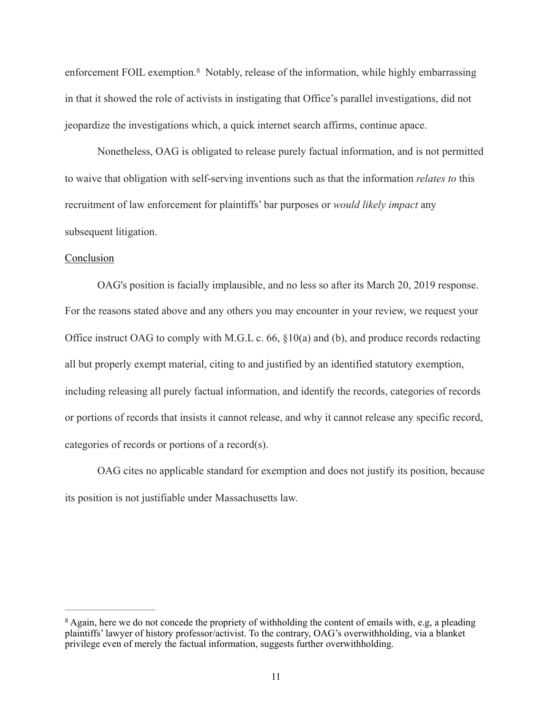<span id="page-10-1"></span>enforcementFOIL exemption.<sup>[8](#page-10-0)</sup> Notably, release of the information, while highly embarrassing in that it showed the role of activists in instigating that Office's parallel investigations, did not jeopardize the investigations which, a quick internet search affirms, continue apace.

 Nonetheless, OAG is obligated to release purely factual information, and is not permitted to waive that obligation with self-serving inventions such as that the information *relates to* this recruitment of law enforcement for plaintiffs' bar purposes or *would likely impact* any subsequent litigation.

# Conclusion

 OAG's position is facially implausible, and no less so after its March 20, 2019 response. For the reasons stated above and any others you may encounter in your review, we request your Office instruct OAG to comply with M.G.L c. 66, §10(a) and (b), and produce records redacting all but properly exempt material, citing to and justified by an identified statutory exemption, including releasing all purely factual information, and identify the records, categories of records or portions of records that insists it cannot release, and why it cannot release any specific record, categories of records or portions of a record(s).

 OAG cites no applicable standard for exemption and does not justify its position, because its position is not justifiable under Massachusetts law.

<span id="page-10-0"></span>Again, here we do not concede the propriety of withholding the content of emails with, e.g, a pleading [8](#page-10-1) plaintiffs' lawyer of history professor/activist. To the contrary, OAG's overwithholding, via a blanket privilege even of merely the factual information, suggests further overwithholding.